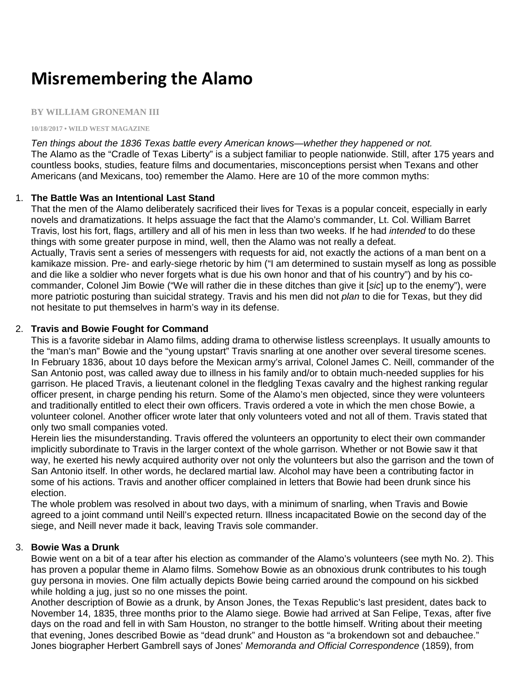# **Misremembering the Alamo**

#### **BY WILLIAM GRONEMAN III**

#### **10/18/2017 • WILD WEST MAGAZINE**

Ten things about the 1836 Texas battle every American knows—whether they happened or not. The Alamo as the "Cradle of Texas Liberty" is a subject familiar to people nationwide. Still, after 175 years and countless books, studies, feature films and documentaries, misconceptions persist when Texans and other Americans (and Mexicans, too) remember the Alamo. Here are 10 of the more common myths:

#### 1. **The Battle Was an Intentional Last Stand**

That the men of the Alamo deliberately sacrificed their lives for Texas is a popular conceit, especially in early novels and dramatizations. It helps assuage the fact that the Alamo's commander, Lt. Col. William Barret Travis, lost his fort, flags, artillery and all of his men in less than two weeks. If he had intended to do these things with some greater purpose in mind, well, then the Alamo was not really a defeat. Actually, Travis sent a series of messengers with requests for aid, not exactly the actions of a man bent on a kamikaze mission. Pre- and early-siege rhetoric by him ("I am determined to sustain myself as long as possible and die like a soldier who never forgets what is due his own honor and that of his country") and by his cocommander, Colonel Jim Bowie ("We will rather die in these ditches than give it [sic] up to the enemy"), were more patriotic posturing than suicidal strategy. Travis and his men did not *plan* to die for Texas, but they did not hesitate to put themselves in harm's way in its defense.

#### 2. **Travis and Bowie Fought for Command**

This is a favorite sidebar in Alamo films, adding drama to otherwise listless screenplays. It usually amounts to the "man's man" Bowie and the "young upstart" Travis snarling at one another over several tiresome scenes. In February 1836, about 10 days before the Mexican army's arrival, Colonel James C. Neill, commander of the San Antonio post, was called away due to illness in his family and/or to obtain much-needed supplies for his garrison. He placed Travis, a lieutenant colonel in the fledgling Texas cavalry and the highest ranking regular officer present, in charge pending his return. Some of the Alamo's men objected, since they were volunteers and traditionally entitled to elect their own officers. Travis ordered a vote in which the men chose Bowie, a volunteer colonel. Another officer wrote later that only volunteers voted and not all of them. Travis stated that only two small companies voted.

Herein lies the misunderstanding. Travis offered the volunteers an opportunity to elect their own commander implicitly subordinate to Travis in the larger context of the whole garrison. Whether or not Bowie saw it that way, he exerted his newly acquired authority over not only the volunteers but also the garrison and the town of San Antonio itself. In other words, he declared martial law. Alcohol may have been a contributing factor in some of his actions. Travis and another officer complained in letters that Bowie had been drunk since his election.

The whole problem was resolved in about two days, with a minimum of snarling, when Travis and Bowie agreed to a joint command until Neill's expected return. Illness incapacitated Bowie on the second day of the siege, and Neill never made it back, leaving Travis sole commander.

### 3. **Bowie Was a Drunk**

Bowie went on a bit of a tear after his election as commander of the Alamo's volunteers (see myth No. 2). This has proven a popular theme in Alamo films. Somehow Bowie as an obnoxious drunk contributes to his tough guy persona in movies. One film actually depicts Bowie being carried around the compound on his sickbed while holding a jug, just so no one misses the point.

Another description of Bowie as a drunk, by Anson Jones, the Texas Republic's last president, dates back to November 14, 1835, three months prior to the Alamo siege. Bowie had arrived at San Felipe, Texas, after five days on the road and fell in with Sam Houston, no stranger to the bottle himself. Writing about their meeting that evening, Jones described Bowie as "dead drunk" and Houston as "a brokendown sot and debauchee." Jones biographer Herbert Gambrell says of Jones' Memoranda and Official Correspondence (1859), from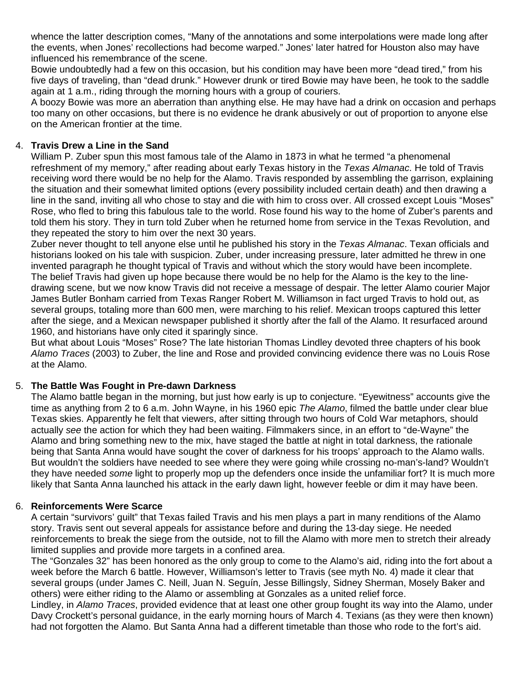whence the latter description comes, "Many of the annotations and some interpolations were made long after the events, when Jones' recollections had become warped." Jones' later hatred for Houston also may have influenced his remembrance of the scene.

Bowie undoubtedly had a few on this occasion, but his condition may have been more "dead tired," from his five days of traveling, than "dead drunk." However drunk or tired Bowie may have been, he took to the saddle again at 1 a.m., riding through the morning hours with a group of couriers.

A boozy Bowie was more an aberration than anything else. He may have had a drink on occasion and perhaps too many on other occasions, but there is no evidence he drank abusively or out of proportion to anyone else on the American frontier at the time.

### 4. **Travis Drew a Line in the Sand**

William P. Zuber spun this most famous tale of the Alamo in 1873 in what he termed "a phenomenal refreshment of my memory," after reading about early Texas history in the Texas Almanac. He told of Travis receiving word there would be no help for the Alamo. Travis responded by assembling the garrison, explaining the situation and their somewhat limited options (every possibility included certain death) and then drawing a line in the sand, inviting all who chose to stay and die with him to cross over. All crossed except Louis "Moses" Rose, who fled to bring this fabulous tale to the world. Rose found his way to the home of Zuber's parents and told them his story. They in turn told Zuber when he returned home from service in the Texas Revolution, and they repeated the story to him over the next 30 years.

Zuber never thought to tell anyone else until he published his story in the Texas Almanac. Texan officials and historians looked on his tale with suspicion. Zuber, under increasing pressure, later admitted he threw in one invented paragraph he thought typical of Travis and without which the story would have been incomplete. The belief Travis had given up hope because there would be no help for the Alamo is the key to the linedrawing scene, but we now know Travis did not receive a message of despair. The letter Alamo courier Major James Butler Bonham carried from Texas Ranger Robert M. Williamson in fact urged Travis to hold out, as several groups, totaling more than 600 men, were marching to his relief. Mexican troops captured this letter after the siege, and a Mexican newspaper published it shortly after the fall of the Alamo. It resurfaced around 1960, and historians have only cited it sparingly since.

But what about Louis "Moses" Rose? The late historian Thomas Lindley devoted three chapters of his book Alamo Traces (2003) to Zuber, the line and Rose and provided convincing evidence there was no Louis Rose at the Alamo.

### 5. **The Battle Was Fought in Pre-dawn Darkness**

The Alamo battle began in the morning, but just how early is up to conjecture. "Eyewitness" accounts give the time as anything from 2 to 6 a.m. John Wayne, in his 1960 epic The Alamo, filmed the battle under clear blue Texas skies. Apparently he felt that viewers, after sitting through two hours of Cold War metaphors, should actually see the action for which they had been waiting. Filmmakers since, in an effort to "de-Wayne" the Alamo and bring something new to the mix, have staged the battle at night in total darkness, the rationale being that Santa Anna would have sought the cover of darkness for his troops' approach to the Alamo walls. But wouldn't the soldiers have needed to see where they were going while crossing no-man's-land? Wouldn't they have needed some light to properly mop up the defenders once inside the unfamiliar fort? It is much more likely that Santa Anna launched his attack in the early dawn light, however feeble or dim it may have been.

### 6. **Reinforcements Were Scarce**

A certain "survivors' guilt" that Texas failed Travis and his men plays a part in many renditions of the Alamo story. Travis sent out several appeals for assistance before and during the 13-day siege. He needed reinforcements to break the siege from the outside, not to fill the Alamo with more men to stretch their already limited supplies and provide more targets in a confined area.

The "Gonzales 32" has been honored as the only group to come to the Alamo's aid, riding into the fort about a week before the March 6 battle. However, Williamson's letter to Travis (see myth No. 4) made it clear that several groups (under James C. Neill, Juan N. Seguín, Jesse Billingsly, Sidney Sherman, Mosely Baker and others) were either riding to the Alamo or assembling at Gonzales as a united relief force.

Lindley, in Alamo Traces, provided evidence that at least one other group fought its way into the Alamo, under Davy Crockett's personal guidance, in the early morning hours of March 4. Texians (as they were then known) had not forgotten the Alamo. But Santa Anna had a different timetable than those who rode to the fort's aid.